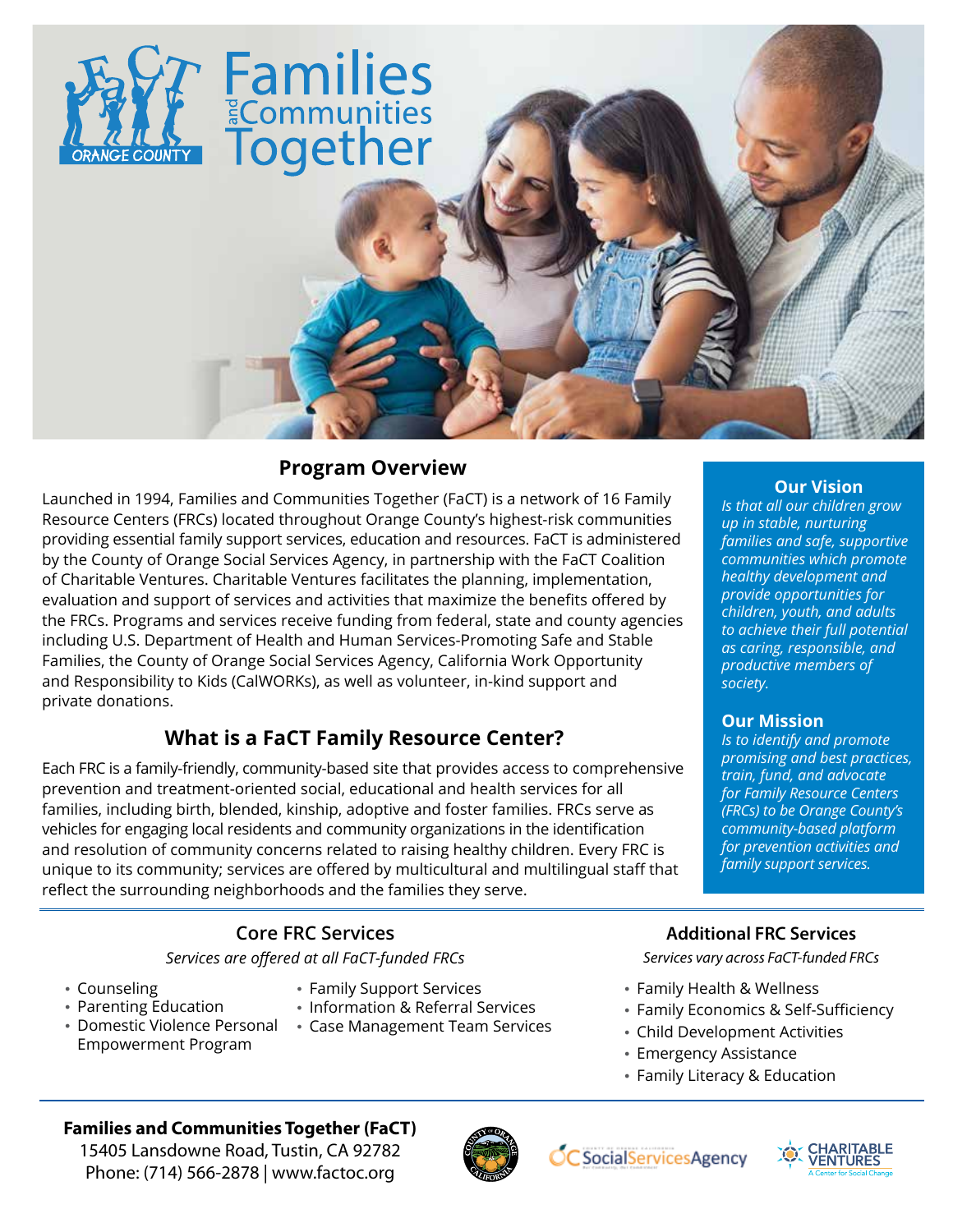

## **Program Overview**

Launched in 1994, Families and Communities Together (FaCT) is a network of 16 Family Resource Centers (FRCs) located throughout Orange County's highest-risk communities providing essential family support services, education and resources. FaCT is administered by the County of Orange Social Services Agency, in partnership with the FaCT Coalition of Charitable Ventures. Charitable Ventures facilitates the planning, implementation, evaluation and support of services and activities that maximize the benefits offered by the FRCs. Programs and services receive funding from federal, state and county agencies including U.S. Department of Health and Human Services-Promoting Safe and Stable Families, the County of Orange Social Services Agency, California Work Opportunity and Responsibility to Kids (CalWORKs), as well as volunteer, in-kind support and private donations.

# **What is a FaCT Family Resource Center?**

Each FRC is a family-friendly, community-based site that provides access to comprehensive prevention and treatment-oriented social, educational and health services for all families, including birth, blended, kinship, adoptive and foster families. FRCs serve as vehicles for engaging local residents and community organizations in the identification and resolution of community concerns related to raising healthy children. Every FRC is unique to its community; services are offered by multicultural and multilingual staff that reflect the surrounding neighborhoods and the families they serve.

# **Core FRC Services**

*Services are offered at all FaCT-funded FRCs* 

- Counseling
- Parenting Education
- Domestic Violence Personal Empowerment Program
- Family Support Services
- Information & Referral Services
- Case Management Team Services

#### **Our Vision**

*Is that all our children grow up in stable, nurturing families and safe, supportive communities which promote healthy development and provide opportunities for children, youth, and adults to achieve their full potential as caring, responsible, and productive members of society.*

#### **Our Mission**

*Is to identify and promote promising and best practices, train, fund, and advocate for Family Resource Centers (FRCs) to be Orange County's community-based platform for prevention activities and family support services.*

### **Additional FRC Services**

*Services vary across FaCT-funded FRCs*

- Family Health & Wellness
- Family Economics & Self-Sufficiency
- Child Development Activities
- Emergency Assistance
- Family Literacy & Education

#### **Families and Communities Together (FaCT)**

15405 Lansdowne Road, Tustin, CA 92782 Phone: (714) 566-2878 | [www.factoc.org](http://www.factoc.org)